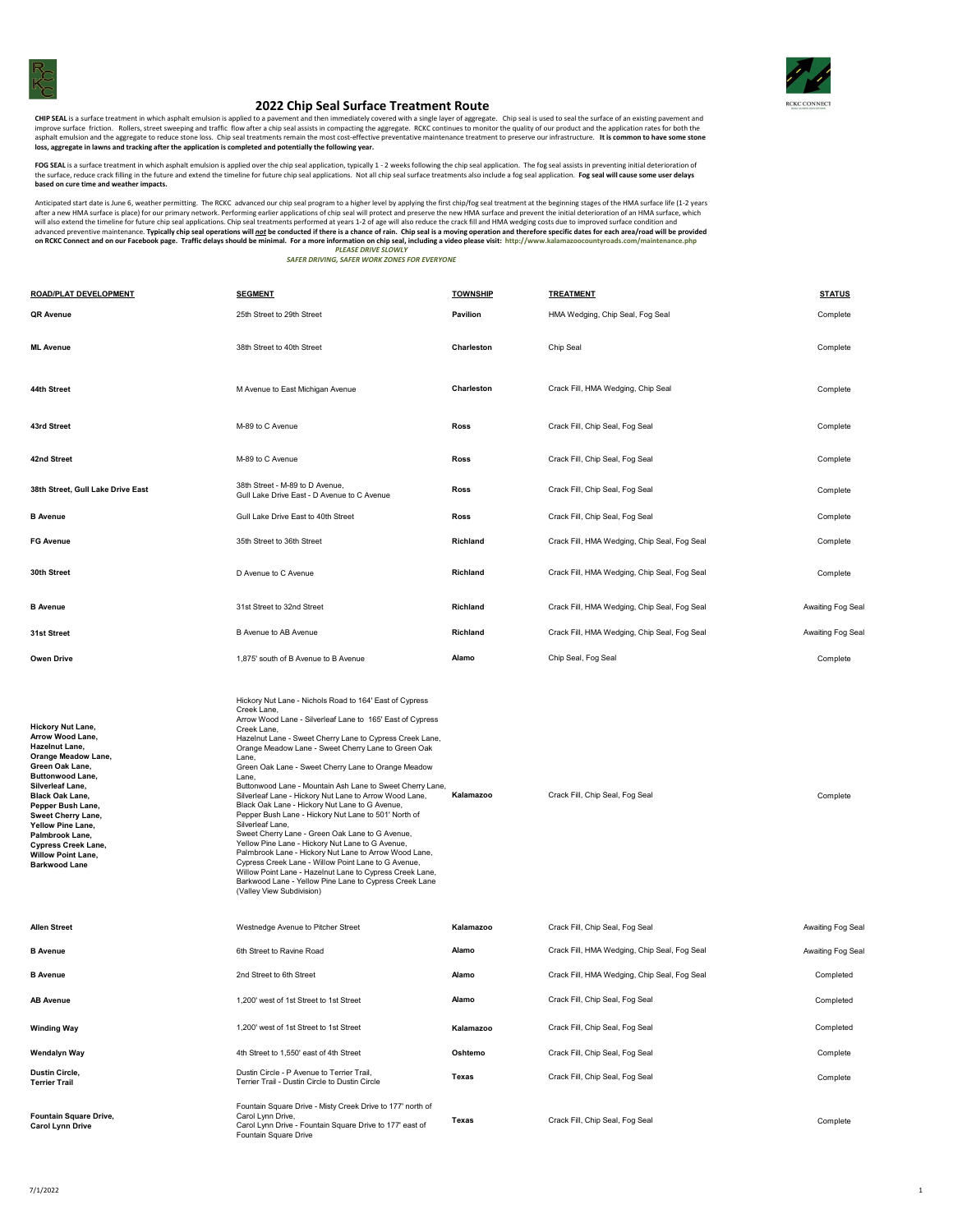



## **2022 Chip Seal Surface Treatment Route**

CHIP SEAL is a surface treatment in which asphalt emulsion is applied to a pavement and then immediately covered with a single layer of aggregate. Chip seal is used to seal the surface of an existing pavement and then be a **loss, aggregate in lawns and tracking after the application is completed and potentially the following year.**

FOG SEAL is a surface treatment in which asphalt emulsion is applied over the chip seal application, typically 1 - 2 weeks following the chip seal application. The fog seal assists in preventing initial deterioration of the surface, reduce crack filling in the future and extend the timeline for future chip seal applications. Not all chip seal surface treatments also include a fog seal application. **Fog seal will cause some user delays**<br><mark>b</mark>

Anticipated start date is place) for our primary network. Performing earlier applications of chip seal yrelly by applying the first chip/tog seal treatment at the beginning of the MA surface and prevent the initial deterio

| ROAD/PLAT DEVELOPMENT                                                                                                                                                                                                                                                                                                                     | <b>SEGMENT</b>                                                                                                                                                                                                                                                                                                                                                                                                                                                                                                                                                                                                                                                                                                                                                                                                                                                                                                                                                                | <b>TOWNSHIP</b> | <b>TREATMENT</b>                             | <b>STATUS</b>    |
|-------------------------------------------------------------------------------------------------------------------------------------------------------------------------------------------------------------------------------------------------------------------------------------------------------------------------------------------|-------------------------------------------------------------------------------------------------------------------------------------------------------------------------------------------------------------------------------------------------------------------------------------------------------------------------------------------------------------------------------------------------------------------------------------------------------------------------------------------------------------------------------------------------------------------------------------------------------------------------------------------------------------------------------------------------------------------------------------------------------------------------------------------------------------------------------------------------------------------------------------------------------------------------------------------------------------------------------|-----------------|----------------------------------------------|------------------|
| <b>QR Avenue</b>                                                                                                                                                                                                                                                                                                                          | 25th Street to 29th Street                                                                                                                                                                                                                                                                                                                                                                                                                                                                                                                                                                                                                                                                                                                                                                                                                                                                                                                                                    | Pavilion        | HMA Wedging, Chip Seal, Fog Seal             | Complete         |
| ML Avenue                                                                                                                                                                                                                                                                                                                                 | 38th Street to 40th Street                                                                                                                                                                                                                                                                                                                                                                                                                                                                                                                                                                                                                                                                                                                                                                                                                                                                                                                                                    | Charleston      | Chip Seal                                    | Complete         |
| 44th Street                                                                                                                                                                                                                                                                                                                               | M Avenue to East Michigan Avenue                                                                                                                                                                                                                                                                                                                                                                                                                                                                                                                                                                                                                                                                                                                                                                                                                                                                                                                                              | Charleston      | Crack Fill, HMA Wedging, Chip Seal           | Complete         |
| 43rd Street                                                                                                                                                                                                                                                                                                                               | M-89 to C Avenue                                                                                                                                                                                                                                                                                                                                                                                                                                                                                                                                                                                                                                                                                                                                                                                                                                                                                                                                                              | <b>Ross</b>     | Crack Fill, Chip Seal, Fog Seal              | Complete         |
| 42nd Street                                                                                                                                                                                                                                                                                                                               | M-89 to C Avenue                                                                                                                                                                                                                                                                                                                                                                                                                                                                                                                                                                                                                                                                                                                                                                                                                                                                                                                                                              | <b>Ross</b>     | Crack Fill, Chip Seal, Fog Seal              | Complete         |
| 38th Street, Gull Lake Drive East                                                                                                                                                                                                                                                                                                         | 38th Street - M-89 to D Avenue,<br>Gull Lake Drive East - D Avenue to C Avenue                                                                                                                                                                                                                                                                                                                                                                                                                                                                                                                                                                                                                                                                                                                                                                                                                                                                                                | Ross            | Crack Fill, Chip Seal, Fog Seal              | Complete         |
| <b>B</b> Avenue                                                                                                                                                                                                                                                                                                                           | Gull Lake Drive East to 40th Street                                                                                                                                                                                                                                                                                                                                                                                                                                                                                                                                                                                                                                                                                                                                                                                                                                                                                                                                           | <b>Ross</b>     | Crack Fill, Chip Seal, Fog Seal              | Complete         |
| <b>FG Avenue</b>                                                                                                                                                                                                                                                                                                                          | 35th Street to 36th Street                                                                                                                                                                                                                                                                                                                                                                                                                                                                                                                                                                                                                                                                                                                                                                                                                                                                                                                                                    | Richland        | Crack Fill, HMA Wedging, Chip Seal, Fog Seal | Complete         |
| 30th Street                                                                                                                                                                                                                                                                                                                               | D Avenue to C Avenue                                                                                                                                                                                                                                                                                                                                                                                                                                                                                                                                                                                                                                                                                                                                                                                                                                                                                                                                                          | Richland        | Crack Fill, HMA Wedging, Chip Seal, Fog Seal | Complete         |
| <b>B</b> Avenue                                                                                                                                                                                                                                                                                                                           | 31st Street to 32nd Street                                                                                                                                                                                                                                                                                                                                                                                                                                                                                                                                                                                                                                                                                                                                                                                                                                                                                                                                                    | Richland        | Crack Fill, HMA Wedging, Chip Seal, Fog Seal | Awaiting Fog Sea |
| 31st Street                                                                                                                                                                                                                                                                                                                               | B Avenue to AB Avenue                                                                                                                                                                                                                                                                                                                                                                                                                                                                                                                                                                                                                                                                                                                                                                                                                                                                                                                                                         | Richland        | Crack Fill, HMA Wedging, Chip Seal, Fog Seal | Awaiting Fog Sea |
| Owen Drive                                                                                                                                                                                                                                                                                                                                | 1,875' south of B Avenue to B Avenue                                                                                                                                                                                                                                                                                                                                                                                                                                                                                                                                                                                                                                                                                                                                                                                                                                                                                                                                          | Alamo           | Chip Seal, Fog Seal                          | Complete         |
| Hickory Nut Lane,<br>Arrow Wood Lane,<br>Hazelnut Lane,<br>Orange Meadow Lane,<br>Green Oak Lane,<br><b>Buttonwood Lane,</b><br>Silverleaf Lane,<br><b>Black Oak Lane,</b><br>Pepper Bush Lane,<br>Sweet Cherry Lane,<br>Yellow Pine Lane,<br>Palmbrook Lane,<br>Cypress Creek Lane,<br><b>Willow Point Lane,</b><br><b>Barkwood Lane</b> | Hickory Nut Lane - Nichols Road to 164' East of Cypress<br>Creek Lane,<br>Arrow Wood Lane - Silverleaf Lane to 165' East of Cypress<br>Creek Lane,<br>Hazelnut Lane - Sweet Cherry Lane to Cypress Creek Lane,<br>Orange Meadow Lane - Sweet Cherry Lane to Green Oak<br>Lane,<br>Green Oak Lane - Sweet Cherry Lane to Orange Meadow<br>Lane,<br>Buttonwood Lane - Mountain Ash Lane to Sweet Cherry Lane,<br>Silverleaf Lane - Hickory Nut Lane to Arrow Wood Lane,<br>Black Oak Lane - Hickory Nut Lane to G Avenue,<br>Pepper Bush Lane - Hickory Nut Lane to 501' North of<br>Silverleaf Lane,<br>Sweet Cherry Lane - Green Oak Lane to G Avenue,<br>Yellow Pine Lane - Hickory Nut Lane to G Avenue,<br>Palmbrook Lane - Hickory Nut Lane to Arrow Wood Lane,<br>Cypress Creek Lane - Willow Point Lane to G Avenue,<br>Willow Point Lane - Hazelnut Lane to Cypress Creek Lane,<br>Barkwood Lane - Yellow Pine Lane to Cypress Creek Lane<br>(Valley View Subdivision) | Kalamazoo       | Crack Fill, Chip Seal, Fog Seal              | Complete         |
| Allen Street                                                                                                                                                                                                                                                                                                                              | Westnedge Avenue to Pitcher Street                                                                                                                                                                                                                                                                                                                                                                                                                                                                                                                                                                                                                                                                                                                                                                                                                                                                                                                                            | Kalamazoo       | Crack Fill, Chip Seal, Fog Seal              | Awaiting Fog Sea |
| <b>B</b> Avenue                                                                                                                                                                                                                                                                                                                           | 6th Street to Ravine Road                                                                                                                                                                                                                                                                                                                                                                                                                                                                                                                                                                                                                                                                                                                                                                                                                                                                                                                                                     | Alamo           | Crack Fill, HMA Wedging, Chip Seal, Fog Seal | Awaiting Fog Sea |
| <b>B</b> Avenue                                                                                                                                                                                                                                                                                                                           | 2nd Street to 6th Street                                                                                                                                                                                                                                                                                                                                                                                                                                                                                                                                                                                                                                                                                                                                                                                                                                                                                                                                                      | Alamo           | Crack Fill, HMA Wedging, Chip Seal, Fog Seal | Completed        |
| <b>AB Avenue</b>                                                                                                                                                                                                                                                                                                                          | 1,200' west of 1st Street to 1st Street                                                                                                                                                                                                                                                                                                                                                                                                                                                                                                                                                                                                                                                                                                                                                                                                                                                                                                                                       | Alamo           | Crack Fill, Chip Seal, Fog Seal              | Completed        |
| <b>Winding Way</b>                                                                                                                                                                                                                                                                                                                        | 1,200' west of 1st Street to 1st Street                                                                                                                                                                                                                                                                                                                                                                                                                                                                                                                                                                                                                                                                                                                                                                                                                                                                                                                                       | Kalamazoo       | Crack Fill, Chip Seal, Fog Seal              | Completed        |
| Wendalyn Way                                                                                                                                                                                                                                                                                                                              | 4th Street to 1,550' east of 4th Street                                                                                                                                                                                                                                                                                                                                                                                                                                                                                                                                                                                                                                                                                                                                                                                                                                                                                                                                       | Oshtemo         | Crack Fill, Chip Seal, Fog Seal              | Complete         |
| Dustin Circle,<br><b>Terrier Trail</b>                                                                                                                                                                                                                                                                                                    | Dustin Circle - P Avenue to Terrier Trail,<br>Terrier Trail - Dustin Circle to Dustin Circle                                                                                                                                                                                                                                                                                                                                                                                                                                                                                                                                                                                                                                                                                                                                                                                                                                                                                  | Texas           | Crack Fill, Chip Seal, Fog Seal              | Complete         |
| Fountain Square Drive,<br>Carol Lynn Drive                                                                                                                                                                                                                                                                                                | Fountain Square Drive - Misty Creek Drive to 177' north of<br>Carol Lynn Drive.<br>Carol Lynn Drive - Fountain Square Drive to 177' east of<br>Fountain Square Drive                                                                                                                                                                                                                                                                                                                                                                                                                                                                                                                                                                                                                                                                                                                                                                                                          | Texas           | Crack Fill, Chip Seal, Fog Seal              | Complete         |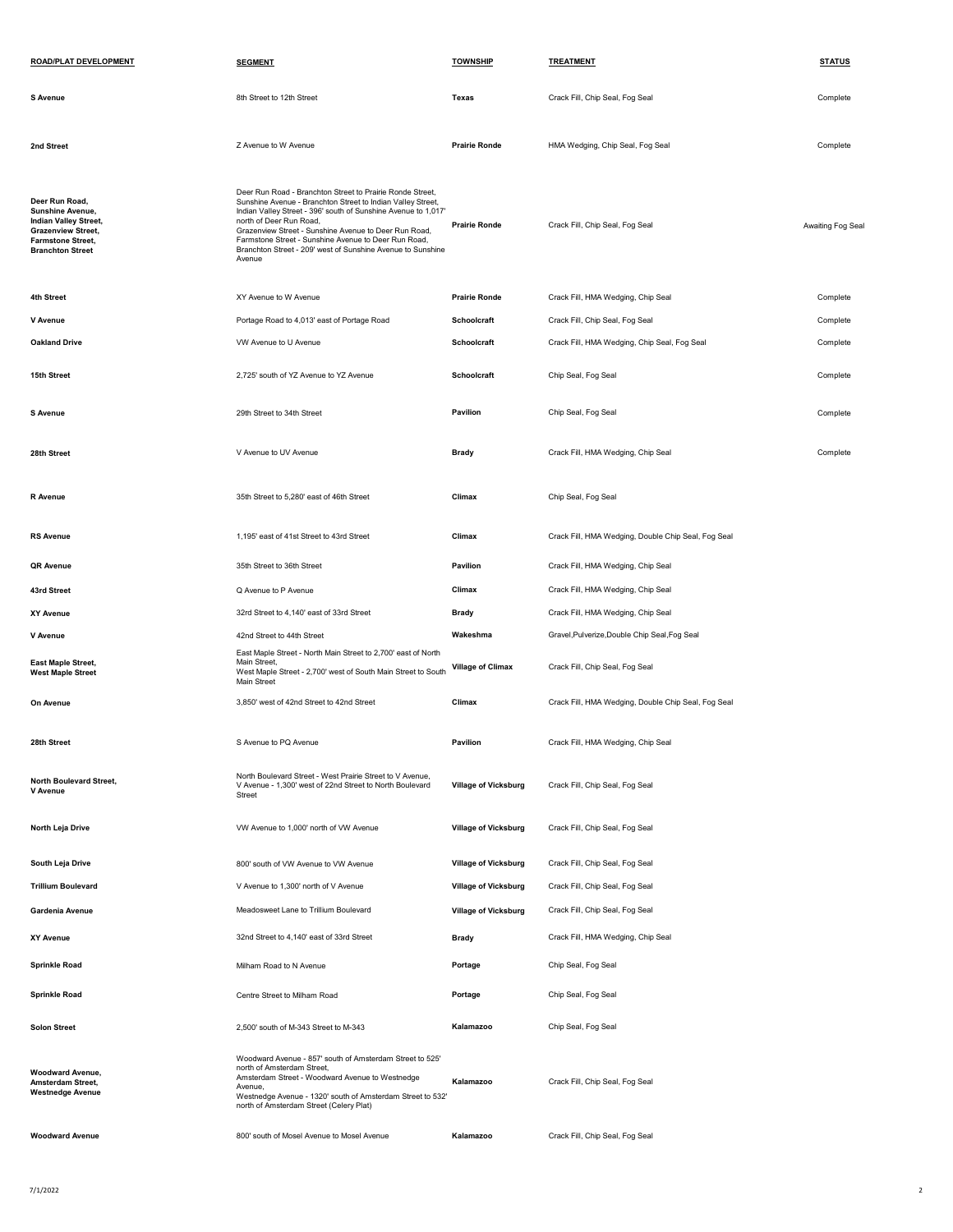| ROAD/PLAT DEVELOPMENT                                                                                                                                  | <b>SEGMENT</b>                                                                                                                                                                                                                                                                                                                                                                                                  | <b>TOWNSHIP</b>             | <b>TREATMENT</b>                                    | <b>STATUS</b>    |
|--------------------------------------------------------------------------------------------------------------------------------------------------------|-----------------------------------------------------------------------------------------------------------------------------------------------------------------------------------------------------------------------------------------------------------------------------------------------------------------------------------------------------------------------------------------------------------------|-----------------------------|-----------------------------------------------------|------------------|
| S Avenue                                                                                                                                               | 8th Street to 12th Street                                                                                                                                                                                                                                                                                                                                                                                       | Texas                       | Crack Fill, Chip Seal, Fog Seal                     | Complete         |
| 2nd Street                                                                                                                                             | Z Avenue to W Avenue                                                                                                                                                                                                                                                                                                                                                                                            | <b>Prairie Ronde</b>        | HMA Wedging, Chip Seal, Fog Seal                    | Complete         |
| Deer Run Road,<br>Sunshine Avenue,<br><b>Indian Valley Street,</b><br><b>Grazenview Street,</b><br><b>Farmstone Street,</b><br><b>Branchton Street</b> | Deer Run Road - Branchton Street to Prairie Ronde Street,<br>Sunshine Avenue - Branchton Street to Indian Valley Street,<br>Indian Valley Street - 396' south of Sunshine Avenue to 1,017'<br>north of Deer Run Road,<br>Grazenview Street - Sunshine Avenue to Deer Run Road,<br>Farmstone Street - Sunshine Avenue to Deer Run Road,<br>Branchton Street - 209' west of Sunshine Avenue to Sunshine<br>Avenue | <b>Prairie Ronde</b>        | Crack Fill, Chip Seal, Fog Seal                     | Awaiting Fog Sea |
| 4th Street                                                                                                                                             | XY Avenue to W Avenue                                                                                                                                                                                                                                                                                                                                                                                           | <b>Prairie Ronde</b>        | Crack Fill, HMA Wedging, Chip Seal                  | Complete         |
| V Avenue                                                                                                                                               | Portage Road to 4,013' east of Portage Road                                                                                                                                                                                                                                                                                                                                                                     | Schoolcraft                 | Crack Fill, Chip Seal, Fog Seal                     | Complete         |
| <b>Oakland Drive</b>                                                                                                                                   | VW Avenue to U Avenue                                                                                                                                                                                                                                                                                                                                                                                           | Schoolcraft                 | Crack Fill, HMA Wedging, Chip Seal, Fog Seal        | Complete         |
| 15th Street                                                                                                                                            | 2,725' south of YZ Avenue to YZ Avenue                                                                                                                                                                                                                                                                                                                                                                          | Schoolcraft                 | Chip Seal, Fog Seal                                 | Complete         |
| <b>S</b> Avenue                                                                                                                                        | 29th Street to 34th Street                                                                                                                                                                                                                                                                                                                                                                                      | Pavilion                    | Chip Seal, Fog Seal                                 | Complete         |
| 28th Street                                                                                                                                            | V Avenue to UV Avenue                                                                                                                                                                                                                                                                                                                                                                                           | <b>Brady</b>                | Crack Fill, HMA Wedging, Chip Seal                  | Complete         |
| R Avenue                                                                                                                                               | 35th Street to 5.280' east of 46th Street                                                                                                                                                                                                                                                                                                                                                                       | Climax                      | Chip Seal, Fog Seal                                 |                  |
| <b>RS Avenue</b>                                                                                                                                       | 1,195' east of 41st Street to 43rd Street                                                                                                                                                                                                                                                                                                                                                                       | Climax                      | Crack Fill, HMA Wedging, Double Chip Seal, Fog Seal |                  |
| QR Avenue                                                                                                                                              | 35th Street to 36th Street                                                                                                                                                                                                                                                                                                                                                                                      | Pavilion                    | Crack Fill, HMA Wedging, Chip Seal                  |                  |
| 43rd Street                                                                                                                                            | Q Avenue to P Avenue                                                                                                                                                                                                                                                                                                                                                                                            | Climax                      | Crack Fill, HMA Wedging, Chip Seal                  |                  |
| XY Avenue                                                                                                                                              | 32rd Street to 4,140' east of 33rd Street                                                                                                                                                                                                                                                                                                                                                                       | <b>Brady</b>                | Crack Fill, HMA Wedging, Chip Seal                  |                  |
| V Avenue                                                                                                                                               | 42nd Street to 44th Street                                                                                                                                                                                                                                                                                                                                                                                      | Wakeshma                    | Gravel, Pulverize, Double Chip Seal, Fog Seal       |                  |
| <b>East Maple Street,</b><br><b>West Maple Street</b>                                                                                                  | East Maple Street - North Main Street to 2,700' east of North<br>Main Street,<br>West Maple Street - 2,700' west of South Main Street to South<br>Main Street                                                                                                                                                                                                                                                   | <b>Village of Climax</b>    | Crack Fill, Chip Seal, Fog Seal                     |                  |
| On Avenue                                                                                                                                              | 3,850' west of 42nd Street to 42nd Street                                                                                                                                                                                                                                                                                                                                                                       | Climax                      | Crack Fill, HMA Wedging, Double Chip Seal, Fog Seal |                  |
| 28th Street                                                                                                                                            | S Avenue to PQ Avenue                                                                                                                                                                                                                                                                                                                                                                                           | Pavilion                    | Crack Fill, HMA Wedging, Chip Seal                  |                  |
| <b>North Boulevard Street,</b><br>V Avenue                                                                                                             | North Boulevard Street - West Prairie Street to V Avenue,<br>V Avenue - 1,300' west of 22nd Street to North Boulevard<br>Street                                                                                                                                                                                                                                                                                 | <b>Village of Vicksburg</b> | Crack Fill, Chip Seal, Fog Seal                     |                  |
| North Leja Drive                                                                                                                                       | VW Avenue to 1,000' north of VW Avenue                                                                                                                                                                                                                                                                                                                                                                          | <b>Village of Vicksburg</b> | Crack Fill, Chip Seal, Fog Seal                     |                  |
| South Leja Drive                                                                                                                                       | 800' south of VW Avenue to VW Avenue                                                                                                                                                                                                                                                                                                                                                                            | <b>Village of Vicksburg</b> | Crack Fill, Chip Seal, Fog Seal                     |                  |
| <b>Trillium Boulevard</b>                                                                                                                              | V Avenue to 1,300' north of V Avenue                                                                                                                                                                                                                                                                                                                                                                            | <b>Village of Vicksburg</b> | Crack Fill, Chip Seal, Fog Seal                     |                  |
| Gardenia Avenue                                                                                                                                        | Meadosweet Lane to Trillium Boulevard                                                                                                                                                                                                                                                                                                                                                                           | <b>Village of Vicksburg</b> | Crack Fill, Chip Seal, Fog Seal                     |                  |
| XY Avenue                                                                                                                                              | 32nd Street to 4,140' east of 33rd Street                                                                                                                                                                                                                                                                                                                                                                       | <b>Brady</b>                | Crack Fill, HMA Wedging, Chip Seal                  |                  |
| <b>Sprinkle Road</b>                                                                                                                                   | Milham Road to N Avenue                                                                                                                                                                                                                                                                                                                                                                                         | Portage                     | Chip Seal, Fog Seal                                 |                  |
| <b>Sprinkle Road</b>                                                                                                                                   | Centre Street to Milham Road                                                                                                                                                                                                                                                                                                                                                                                    | Portage                     | Chip Seal, Fog Seal                                 |                  |
| <b>Solon Street</b>                                                                                                                                    | 2,500' south of M-343 Street to M-343                                                                                                                                                                                                                                                                                                                                                                           | Kalamazoo                   | Chip Seal, Fog Seal                                 |                  |
| Woodward Avenue,<br>Amsterdam Street,<br><b>Westnedge Avenue</b>                                                                                       | Woodward Avenue - 857' south of Amsterdam Street to 525'<br>north of Amsterdam Street,<br>Amsterdam Street - Woodward Avenue to Westnedge<br>Avenue,<br>Westnedge Avenue - 1320' south of Amsterdam Street to 532'<br>north of Amsterdam Street (Celery Plat)                                                                                                                                                   | Kalamazoo                   | Crack Fill, Chip Seal, Fog Seal                     |                  |
| <b>Woodward Avenue</b>                                                                                                                                 | 800' south of Mosel Avenue to Mosel Avenue                                                                                                                                                                                                                                                                                                                                                                      | Kalamazoo                   | Crack Fill, Chip Seal, Fog Seal                     |                  |